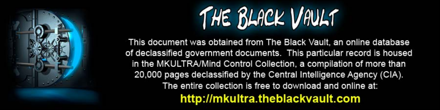

This document was obtained from The Black Vault, an online database of declassified government documents. This particular record is housed in the MKULTRA/Mind Control Collection, a compilation of more than 20,000 pages declassified by the Central Intelligence Agency (CIA). The entire collection is free to download and online at: http://mkultra.theblackvault.com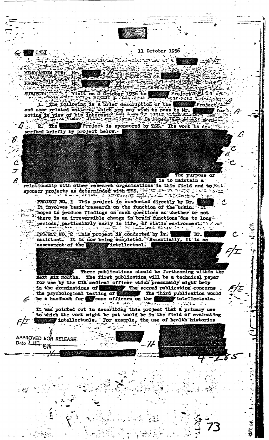11 October 1956 **ONLY** e kri MEMORANDUM FOR: त्रस्य m., FROM: 525) ميريد **F-VIEIT** on 8 October ัว956 to: Project's **SUBJECT:** in acar Thei .er Project  $2^2$  The Project is sponsored by TSS. Its work is de scribed briefly by project below. The purpose of  $\mathscr{E}% _{M_{1},M_{2}}^{\alpha,\beta}(\varepsilon)$ is to maintain a relationship with other research organizations in this field and to setsponsor projects as determinded with TSS. PROJECT NO. 1 This project is conducted directly by Dr. It involves basic research on the function of the brain. It Thopes to produce findings on such questions as whether or not There is an irreversible change in brain functions due to long. periods, particularly early in life, of static environment.  $\sim$  and les a viro PROJECT NO. 2 This project is conducted by Dr. 1. Dr. Dr. 1. assistant. It is now being completed. Essentially, it is an assessment of the intellectual. Three publications should be forthcoming within the The first publication will be a technical paper next six months. for use by the CIA medical officer which presumably might help In the exeminations of The second publication concerns the psychological testing of The third publication would be a handbook for some officers on the intellectuals. It was pointed out in describing this project that a primary use to which the vork might be put would be in the field of evaluating  $F/I$  intellectuals. For example, the use of health histories APPROVED FOR RELEASE Date Lill  $\boldsymbol{\mathcal{H}}$ **1976**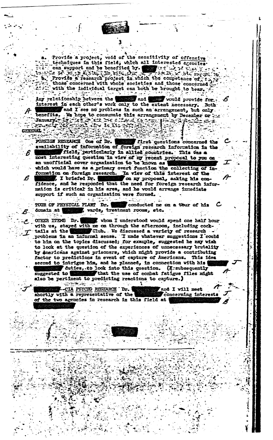Provide a project, void of the sensitivity of offensive techniques in this field, which all interested agencies can support and be benefited by. **AND REAL PARTIES** Le se le kind in the band of the competence of find<br>Provide a research project in which the competence of find<br>those concerned with whole societies and those concerned? with the individual terget can both be brought to bear.

Any reletionship between the **Example 1** would provide for. interest in each other's work only to the extent necessary. Both and I see no problems in such an arrangement, but only. benefits. We hope to consumate this arrangement by December or **ART ENGINEERING** 

**GENERAL** 

ъ.,

One of Dr. **FOREIGH RESEARCH** first questions concerned the availability of information of foreign research information in the field, particularly in allied countries. This was a most interesting question in view of my recent proposal to you on an unofficial cover organization to be known as which would have as a primary overt function the collecting of in-In view of this interest of the formation on foreign research. I briefed Dr. on my proposal, asking his confidence, and he responded that the need for foreign research information is critical in his area, and he would arrange inmediate support if such an organization were formed.

TOUR OF PHYSICAL PLANT Dr. conducted me on a tour of his , wards, treatment rooms, etc. domain at

OTHER ITEMS Dr. , whom I understood would spend one half hour with us, stayed with me on through the afternoon, including cock-<br>tails at the continue of Club. We discussed a variety of research Club. We discussed a variety of research problems in an informal sense. I made whatever suggestions I could to him on the topics discussed; for example, suggested he may wish to look at the question of the experiences of unnecessary brutality by Americans against prisoners, which might provide a contributing factor to predictions in event of capture of Americans. This idea seemed to intrigue him, and he planned, in connection with his duties, to look into this question. (I subsequently that the use of combat fatigue files might suggested to also be pertinent to predicting reactions to capture.) أبادا البابعين المطلوقات

and I will meet -CIA PSYCHO RESEARCH Dr. shortly with a representative of the concerning interests of the two agencies in research in this field at